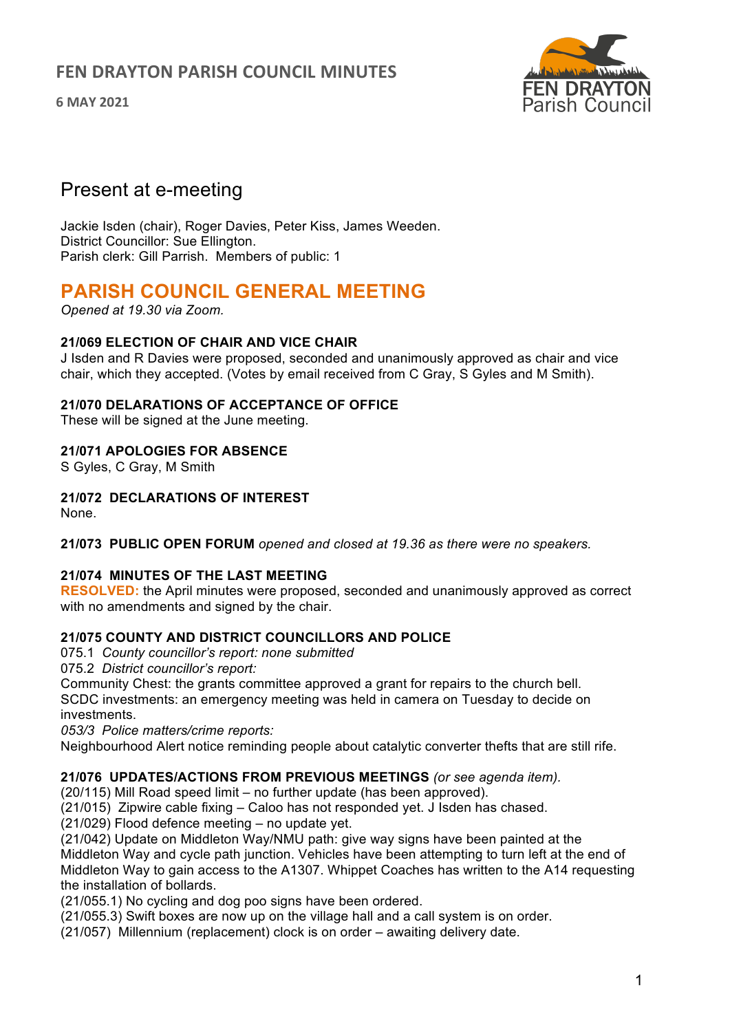**6 MAY 2021**



# Present at e-meeting

Jackie Isden (chair), Roger Davies, Peter Kiss, James Weeden. District Councillor: Sue Ellington. Parish clerk: Gill Parrish. Members of public: 1

# **PARISH COUNCIL GENERAL MEETING**

*Opened at 19.30 via Zoom.*

### **21/069 ELECTION OF CHAIR AND VICE CHAIR**

J Isden and R Davies were proposed, seconded and unanimously approved as chair and vice chair, which they accepted. (Votes by email received from C Gray, S Gyles and M Smith).

# **21/070 DELARATIONS OF ACCEPTANCE OF OFFICE**

These will be signed at the June meeting.

### **21/071 APOLOGIES FOR ABSENCE**

S Gyles, C Gray, M Smith

# **21/072 DECLARATIONS OF INTEREST**

None.

**21/073 PUBLIC OPEN FORUM** *opened and closed at 19.36 as there were no speakers.*

#### **21/074 MINUTES OF THE LAST MEETING**

**RESOLVED:** the April minutes were proposed, seconded and unanimously approved as correct with no amendments and signed by the chair.

# **21/075 COUNTY AND DISTRICT COUNCILLORS AND POLICE**

075.1 *County councillor's report: none submitted*

075.2 *District councillor's report:*

Community Chest: the grants committee approved a grant for repairs to the church bell. SCDC investments: an emergency meeting was held in camera on Tuesday to decide on investments.

*053/3 Police matters/crime reports:*

Neighbourhood Alert notice reminding people about catalytic converter thefts that are still rife.

#### **21/076 UPDATES/ACTIONS FROM PREVIOUS MEETINGS** *(or see agenda item).*

(20/115) Mill Road speed limit – no further update (has been approved).

(21/015) Zipwire cable fixing – Caloo has not responded yet. J Isden has chased.

(21/029) Flood defence meeting – no update yet.

(21/042) Update on Middleton Way/NMU path: give way signs have been painted at the Middleton Way and cycle path junction. Vehicles have been attempting to turn left at the end of Middleton Way to gain access to the A1307. Whippet Coaches has written to the A14 requesting the installation of bollards.

(21/055.1) No cycling and dog poo signs have been ordered.

(21/055.3) Swift boxes are now up on the village hall and a call system is on order.

(21/057) Millennium (replacement) clock is on order – awaiting delivery date.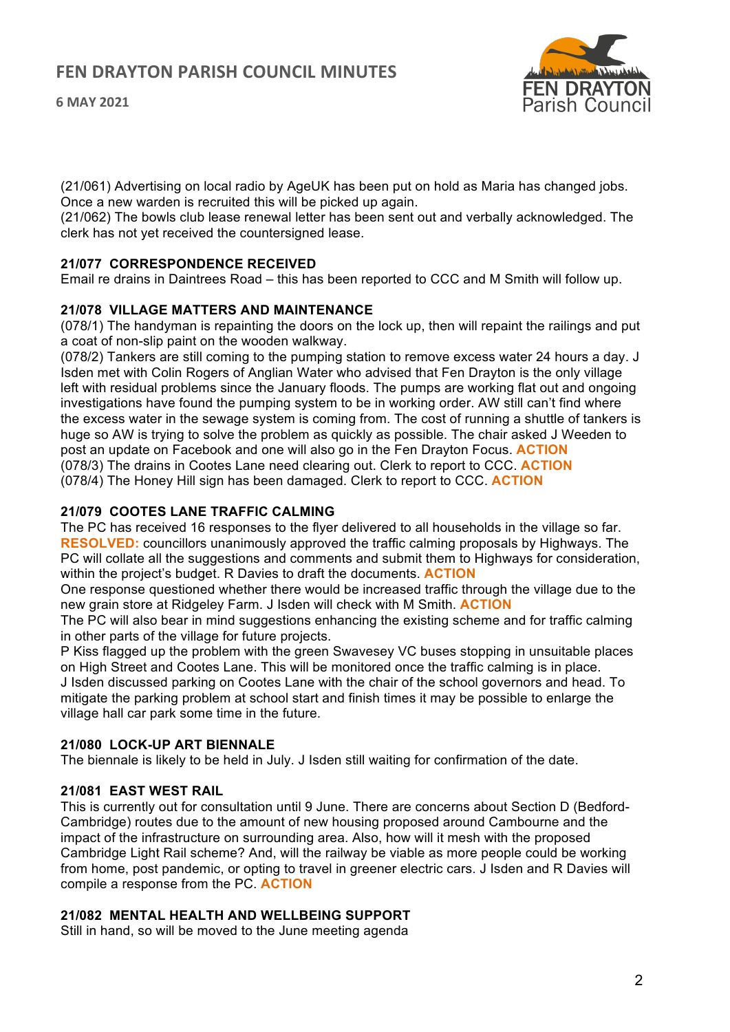**6 MAY 2021**



(21/061) Advertising on local radio by AgeUK has been put on hold as Maria has changed jobs. Once a new warden is recruited this will be picked up again.

(21/062) The bowls club lease renewal letter has been sent out and verbally acknowledged. The clerk has not yet received the countersigned lease.

### **21/077 CORRESPONDENCE RECEIVED**

Email re drains in Daintrees Road – this has been reported to CCC and M Smith will follow up.

#### **21/078 VILLAGE MATTERS AND MAINTENANCE**

(078/1) The handyman is repainting the doors on the lock up, then will repaint the railings and put a coat of non-slip paint on the wooden walkway.

(078/2) Tankers are still coming to the pumping station to remove excess water 24 hours a day. J Isden met with Colin Rogers of Anglian Water who advised that Fen Drayton is the only village left with residual problems since the January floods. The pumps are working flat out and ongoing investigations have found the pumping system to be in working order. AW still can't find where the excess water in the sewage system is coming from. The cost of running a shuttle of tankers is huge so AW is trying to solve the problem as quickly as possible. The chair asked J Weeden to post an update on Facebook and one will also go in the Fen Drayton Focus. **ACTION** (078/3) The drains in Cootes Lane need clearing out. Clerk to report to CCC. **ACTION** (078/4) The Honey Hill sign has been damaged. Clerk to report to CCC. **ACTION**

# **21/079 COOTES LANE TRAFFIC CALMING**

The PC has received 16 responses to the flyer delivered to all households in the village so far. **RESOLVED:** councillors unanimously approved the traffic calming proposals by Highways. The PC will collate all the suggestions and comments and submit them to Highways for consideration, within the project's budget. R Davies to draft the documents. **ACTION**

One response questioned whether there would be increased traffic through the village due to the new grain store at Ridgeley Farm. J Isden will check with M Smith. **ACTION**

The PC will also bear in mind suggestions enhancing the existing scheme and for traffic calming in other parts of the village for future projects.

P Kiss flagged up the problem with the green Swavesey VC buses stopping in unsuitable places on High Street and Cootes Lane. This will be monitored once the traffic calming is in place. J Isden discussed parking on Cootes Lane with the chair of the school governors and head. To mitigate the parking problem at school start and finish times it may be possible to enlarge the village hall car park some time in the future.

#### **21/080 LOCK-UP ART BIENNALE**

The biennale is likely to be held in July. J Isden still waiting for confirmation of the date.

#### **21/081 EAST WEST RAIL**

This is currently out for consultation until 9 June. There are concerns about Section D (Bedford-Cambridge) routes due to the amount of new housing proposed around Cambourne and the impact of the infrastructure on surrounding area. Also, how will it mesh with the proposed Cambridge Light Rail scheme? And, will the railway be viable as more people could be working from home, post pandemic, or opting to travel in greener electric cars. J Isden and R Davies will compile a response from the PC. **ACTION**

#### **21/082 MENTAL HEALTH AND WELLBEING SUPPORT**

Still in hand, so will be moved to the June meeting agenda